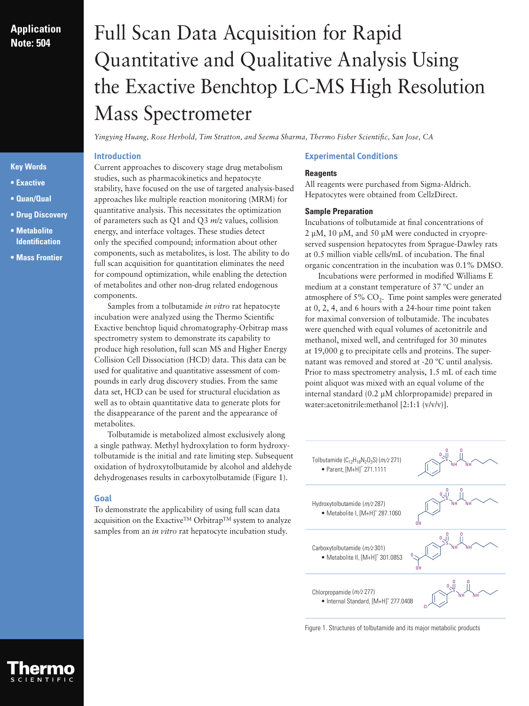# **Application Note: 504**

### **Key Words**

- **• Exactive**
- **• Quan/Qual**
- **• Drug Discovery**
- **• Metabolite Identification**
- **• Mass Frontier**

# Full Scan Data Acquisition for Rapid Quantitative and Qualitative Analysis Using the Exactive Benchtop LC-MS High Resolution Mass Spectrometer

*Yingying Huang, Rose Herbold, Tim Stratton, and Seema Sharma, Thermo Fisher Scientific, San Jose, CA*

## **Introduction**

Current approaches to discovery stage drug metabolism studies, such as pharmacokinetics and hepatocyte stability, have focused on the use of targeted analysis-based approaches like multiple reaction monitoring (MRM) for quantitative analysis. This necessitates the optimization of parameters such as Q1 and Q3 *m/z* values, collision energy, and interface voltages. These studies detect only the specified compound; information about other components, such as metabolites, is lost. The ability to do full scan acquisition for quantitation eliminates the need for compound optimization, while enabling the detection of metabolites and other non-drug related endogenous components.

Samples from a tolbutamide *in vitro* rat hepatocyte incubation were analyzed using the Thermo Scientific Exactive benchtop liquid chromatography-Orbitrap mass spectrometry system to demonstrate its capability to produce high resolution, full scan MS and Higher Energy Collision Cell Dissociation (HCD) data. This data can be used for qualitative and quantitative assessment of compounds in early drug discovery studies. From the same data set, HCD can be used for structural elucidation as well as to obtain quantitative data to generate plots for the disappearance of the parent and the appearance of metabolites.

Tolbutamide is metabolized almost exclusively along a single pathway. Methyl hydroxylation to form hydroxytolbutamide is the initial and rate limiting step. Subsequent oxidation of hydroxytolbutamide by alcohol and aldehyde dehydrogenases results in carboxytolbutamide (Figure 1).

# **Goal**

To demonstrate the applicability of using full scan data acquisition on the Exactive™ Orbitrap™ system to analyze samples from an *in vitro* rat hepatocyte incubation study.

#### **Experimental Conditions**

#### **Reagents**

All reagents were purchased from Sigma-Aldrich. Hepatocytes were obtained from CellzDirect.

#### **Sample Preparation**

Incubations of tolbutamide at final concentrations of 2 µM, 10 µM, and 50 µM were conducted in cryopreserved suspension hepatocytes from Sprague-Dawley rats at 0.5 million viable cells/mL of incubation. The final organic concentration in the incubation was 0.1% DMSO.

Incubations were performed in modified Williams E medium at a constant temperature of 37 ºC under an atmosphere of  $5\%$  CO<sub>2</sub>. Time point samples were generated at 0, 2, 4, and 6 hours with a 24-hour time point taken for maximal conversion of tolbutamide. The incubates were quenched with equal volumes of acetonitrile and methanol, mixed well, and centrifuged for 30 minutes at 19,000 g to precipitate cells and proteins. The supernatant was removed and stored at -20 ºC until analysis. Prior to mass spectrometry analysis, 1.5 mL of each time point aliquot was mixed with an equal volume of the internal standard (0.2 µM chlorpropamide) prepared in water:acetonitrile:methanol [2:1:1 (v/v/v)].



Figure 1. Structures of tolbutamide and its major metabolic products

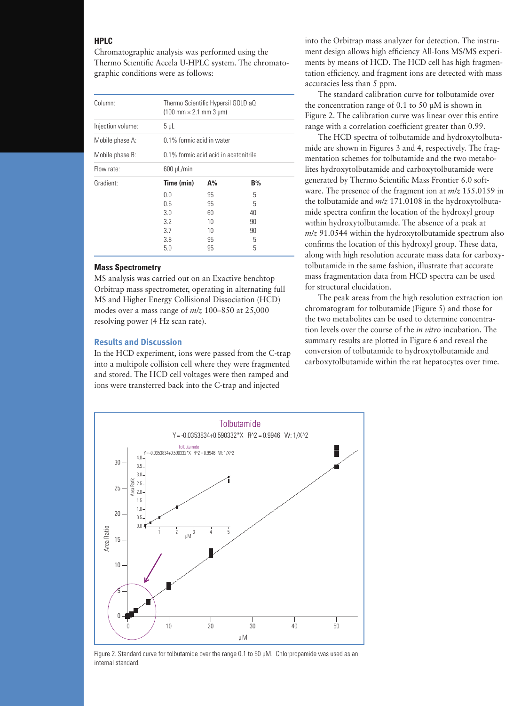#### **HPLC**

Chromatographic analysis was performed using the Thermo Scientific Accela U-HPLC system. The chromatographic conditions were as follows:

| Column:           | Thermo Scientific Hypersil GOLD aQ<br>$(100 \text{ mm} \times 2.1 \text{ mm} \cdot 3 \text{ µm})$ |                                       |    |  |  |
|-------------------|---------------------------------------------------------------------------------------------------|---------------------------------------|----|--|--|
| Injection volume: | $5 \mu L$                                                                                         |                                       |    |  |  |
| Mobile phase A:   |                                                                                                   | 0.1% formic acid in water             |    |  |  |
| Mobile phase B:   |                                                                                                   | 0.1% formic acid acid in acetonitrile |    |  |  |
| Flow rate:        | $600 \mu L/min$                                                                                   |                                       |    |  |  |
| Gradient:         | Time (min)                                                                                        | $A\%$                                 | B% |  |  |
|                   | 0.0                                                                                               | 95                                    | 5  |  |  |
|                   | 0.5                                                                                               | 95                                    | 5  |  |  |
|                   | 3.0                                                                                               | 60                                    | 40 |  |  |
|                   | 3.2                                                                                               | 10                                    | 90 |  |  |
|                   | 3.7                                                                                               | 10                                    | 90 |  |  |
|                   | 3.8                                                                                               | 95                                    | 5  |  |  |
|                   | 5.0                                                                                               | 95                                    | 5  |  |  |

#### **Mass Spectrometry**

MS analysis was carried out on an Exactive benchtop Orbitrap mass spectrometer, operating in alternating full MS and Higher Energy Collisional Dissociation (HCD) modes over a mass range of *m/z* 100–850 at 25,000 resolving power (4 Hz scan rate).

#### **Results and Discussion**

In the HCD experiment, ions were passed from the C-trap into a multipole collision cell where they were fragmented and stored. The HCD cell voltages were then ramped and ions were transferred back into the C-trap and injected

into the Orbitrap mass analyzer for detection. The instrument design allows high efficiency All-Ions MS/MS experiments by means of HCD. The HCD cell has high fragmentation efficiency, and fragment ions are detected with mass accuracies less than 5 ppm.

The standard calibration curve for tolbutamide over the concentration range of 0.1 to 50 µM is shown in Figure 2. The calibration curve was linear over this entire range with a correlation coefficient greater than 0.99.

The HCD spectra of tolbutamide and hydroxytolbutamide are shown in Figures 3 and 4, respectively. The fragmentation schemes for tolbutamide and the two metabolites hydroxytolbutamide and carboxytolbutamide were generated by Thermo Scientific Mass Frontier 6.0 software. The presence of the fragment ion at *m/z* 155.0159 in the tolbutamide and *m/z* 171.0108 in the hydroxytolbutamide spectra confirm the location of the hydroxyl group within hydroxytolbutamide. The absence of a peak at *m/z* 91.0544 within the hydroxytolbutamide spectrum also confirms the location of this hydroxyl group. These data, along with high resolution accurate mass data for carboxytolbutamide in the same fashion, illustrate that accurate mass fragmentation data from HCD spectra can be used for structural elucidation.

The peak areas from the high resolution extraction ion chromatogram for tolbutamide (Figure 5) and those for the two metabolites can be used to determine concentration levels over the course of the *in vitro* incubation. The summary results are plotted in Figure 6 and reveal the conversion of tolbutamide to hydroxytolbutamide and carboxytolbutamide within the rat hepatocytes over time.



Figure 2. Standard curve for tolbutamide over the range 0.1 to 50 µM. Chlorpropamide was used as an internal standard.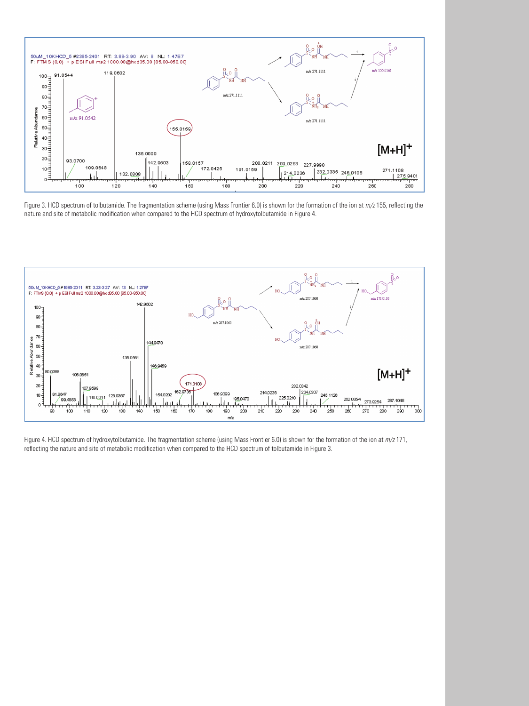

Figure 3. HCD spectrum of tolbutamide. The fragmentation scheme (using Mass Frontier 6.0) is shown for the formation of the ion at *m/z* 155, reflecting the nature and site of metabolic modification when compared to the HCD spectrum of hydroxytolbutamide in Figure 4.



Figure 4. HCD spectrum of hydroxytolbutamide. The fragmentation scheme (using Mass Frontier 6.0) is shown for the formation of the ion at *m/z* 171, reflecting the nature and site of metabolic modification when compared to the HCD spectrum of tolbutamide in Figure 3.